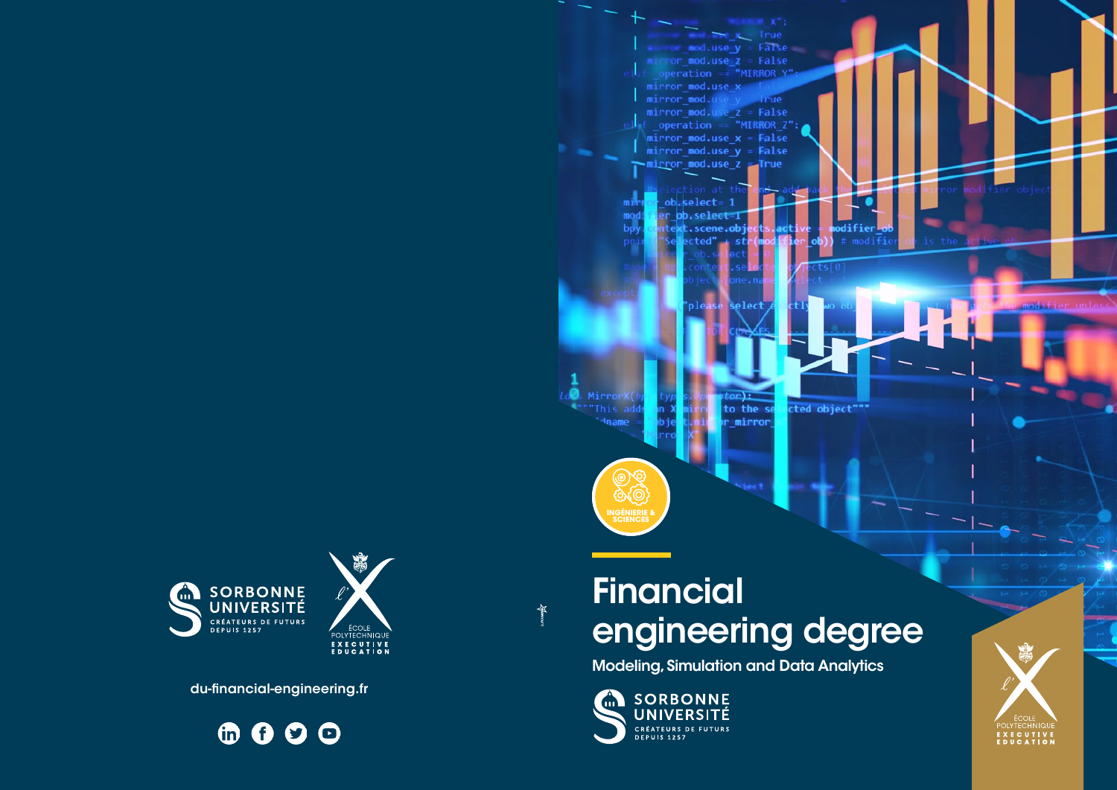



# **Financial** engineering degree

Modeling, Simulation and Data Analytics









du-financial-engineering.fr